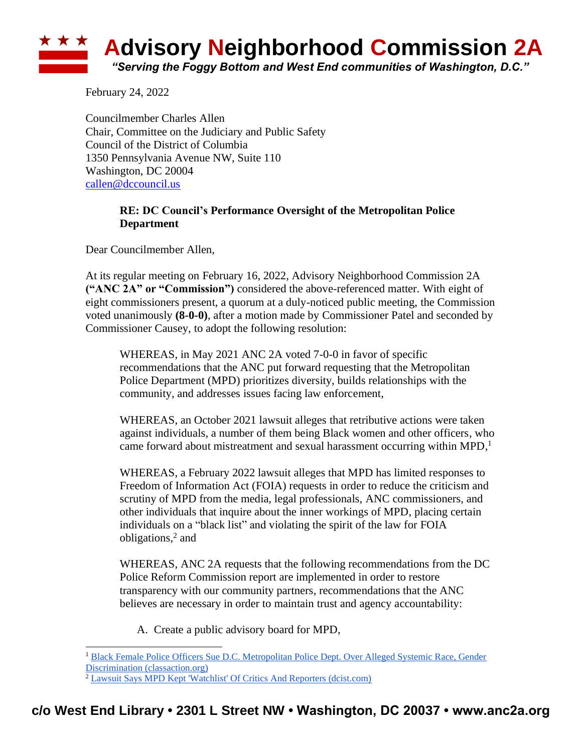## \* \* \* **Advisory Neighborhood Commission 2A** *"Serving the Foggy Bottom and West End communities of Washington, D.C."*

February 24, 2022

Councilmember Charles Allen Chair, Committee on the Judiciary and Public Safety Council of the District of Columbia 1350 Pennsylvania Avenue NW, Suite 110 Washington, DC 20004 [callen@dccouncil.us](mailto:callen@dccouncil.us)

## **RE: DC Council's Performance Oversight of the Metropolitan Police Department**

Dear Councilmember Allen,

At its regular meeting on February 16, 2022, Advisory Neighborhood Commission 2A **("ANC 2A" or "Commission")** considered the above-referenced matter. With eight of eight commissioners present, a quorum at a duly-noticed public meeting, the Commission voted unanimously **(8-0-0)**, after a motion made by Commissioner Patel and seconded by Commissioner Causey, to adopt the following resolution:

WHEREAS, in May 2021 ANC 2A voted 7-0-0 in favor of specific recommendations that the ANC put forward requesting that the Metropolitan Police Department (MPD) prioritizes diversity, builds relationships with the community, and addresses issues facing law enforcement,

WHEREAS, an October 2021 lawsuit alleges that retributive actions were taken against individuals, a number of them being Black women and other officers, who came forward about mistreatment and sexual harassment occurring within MPD, 1

WHEREAS, a February 2022 lawsuit alleges that MPD has limited responses to Freedom of Information Act (FOIA) requests in order to reduce the criticism and scrutiny of MPD from the media, legal professionals, ANC commissioners, and other individuals that inquire about the inner workings of MPD, placing certain individuals on a "black list" and violating the spirit of the law for FOIA obligations,<sup>2</sup> and

WHEREAS, ANC 2A requests that the following recommendations from the DC Police Reform Commission report are implemented in order to restore transparency with our community partners, recommendations that the ANC believes are necessary in order to maintain trust and agency accountability:

A. Create a public advisory board for MPD,

<sup>&</sup>lt;sup>1</sup> Black Female Police Officers Sue D.C. Metropolitan Police Dept. Over Alleged Systemic Race, Gender [Discrimination \(classaction.org\)](https://www.classaction.org/news/black-female-police-officers-sue-dc-metropolitan-police-dept-over-alleged-systemic-race-gender-discrimination)

<sup>2</sup> [Lawsuit Says MPD Kept 'Watchlist' Of Critics And Reporters \(dcist.com\)](https://dcist.com/story/22/02/03/dc-police-watchlist-critics-lawsuit/)